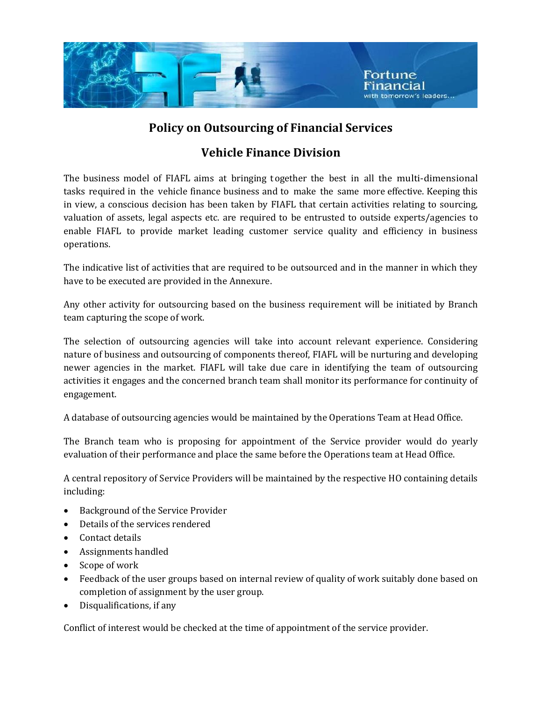

#### **Policy on Outsourcing of Financial Services**

### **Vehicle Finance Division**

The business model of FIAFL aims at bringing together the best in all the multi-dimensional tasks required in the vehicle finance business and to make the same more effective. Keeping this in view, a conscious decision has been taken by FIAFL that certain activities relating to sourcing, valuation of assets, legal aspects etc. are required to be entrusted to outside experts/agencies to enable FIAFL to provide market leading customer service quality and efficiency in business operations.

The indicative list of activities that are required to be outsourced and in the manner in which they have to be executed are provided in the Annexure.

Any other activity for outsourcing based on the business requirement will be initiated by Branch team capturing the scope of work.

The selection of outsourcing agencies will take into account relevant experience. Considering nature of business and outsourcing of components thereof, FIAFL will be nurturing and developing newer agencies in the market. FIAFL will take due care in identifying the team of outsourcing activities it engages and the concerned branch team shall monitor its performance for continuity of engagement.

A database of outsourcing agencies would be maintained by the Operations Team at Head Office.

The Branch team who is proposing for appointment of the Service provider would do yearly evaluation of their performance and place the same before the Operations team at Head Office.

A central repository of Service Providers will be maintained by the respective HO containing details including:

- Background of the Service Provider
- Details of the services rendered
- Contact details
- Assignments handled
- Scope of work
- Feedback of the user groups based on internal review of quality of work suitably done based on completion of assignment by the user group.
- Disqualifications, if any

Conflict of interest would be checked at the time of appointment of the service provider.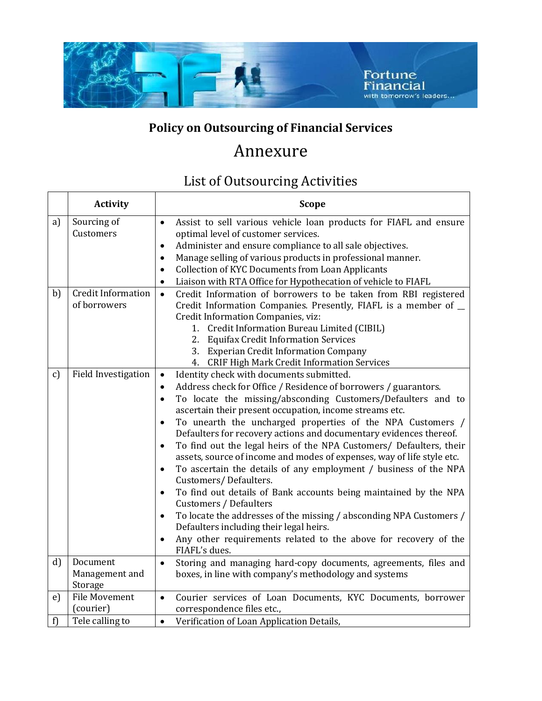

## **Policy on Outsourcing of Financial Services**

# Annexure

## List of Outsourcing Activities

|              | <b>Activity</b>                           | <b>Scope</b>                                                                                                                                                                                                                                                                                                                                                                                                                                                                                                                                                                                                                                                                                                                                                                                                                                                                                                                                                                                                                                      |
|--------------|-------------------------------------------|---------------------------------------------------------------------------------------------------------------------------------------------------------------------------------------------------------------------------------------------------------------------------------------------------------------------------------------------------------------------------------------------------------------------------------------------------------------------------------------------------------------------------------------------------------------------------------------------------------------------------------------------------------------------------------------------------------------------------------------------------------------------------------------------------------------------------------------------------------------------------------------------------------------------------------------------------------------------------------------------------------------------------------------------------|
| a)           | Sourcing of<br>Customers                  | Assist to sell various vehicle loan products for FIAFL and ensure<br>$\bullet$<br>optimal level of customer services.<br>Administer and ensure compliance to all sale objectives.<br>$\bullet$<br>Manage selling of various products in professional manner.<br>$\bullet$<br><b>Collection of KYC Documents from Loan Applicants</b><br>$\bullet$<br>Liaison with RTA Office for Hypothecation of vehicle to FIAFL                                                                                                                                                                                                                                                                                                                                                                                                                                                                                                                                                                                                                                |
| b)           | <b>Credit Information</b><br>of borrowers | Credit Information of borrowers to be taken from RBI registered<br>$\bullet$<br>Credit Information Companies. Presently, FIAFL is a member of _<br>Credit Information Companies, viz:<br>1. Credit Information Bureau Limited (CIBIL)<br>2.<br><b>Equifax Credit Information Services</b><br>3. Experian Credit Information Company<br>4. CRIF High Mark Credit Information Services                                                                                                                                                                                                                                                                                                                                                                                                                                                                                                                                                                                                                                                              |
| c)           | <b>Field Investigation</b>                | Identity check with documents submitted.<br>$\bullet$<br>Address check for Office / Residence of borrowers / guarantors.<br>$\bullet$<br>To locate the missing/absconding Customers/Defaulters and to<br>$\bullet$<br>ascertain their present occupation, income streams etc.<br>To unearth the uncharged properties of the NPA Customers /<br>$\bullet$<br>Defaulters for recovery actions and documentary evidences thereof.<br>To find out the legal heirs of the NPA Customers/ Defaulters, their<br>$\bullet$<br>assets, source of income and modes of expenses, way of life style etc.<br>To ascertain the details of any employment / business of the NPA<br>$\bullet$<br>Customers/Defaulters.<br>To find out details of Bank accounts being maintained by the NPA<br>$\bullet$<br>Customers / Defaulters<br>To locate the addresses of the missing / absconding NPA Customers /<br>$\bullet$<br>Defaulters including their legal heirs.<br>Any other requirements related to the above for recovery of the<br>$\bullet$<br>FIAFL's dues. |
| $\mathbf{d}$ | Document<br>Management and<br>Storage     | Storing and managing hard-copy documents, agreements, files and<br>$\bullet$<br>boxes, in line with company's methodology and systems                                                                                                                                                                                                                                                                                                                                                                                                                                                                                                                                                                                                                                                                                                                                                                                                                                                                                                             |
| e)           | <b>File Movement</b><br>(courier)         | Courier services of Loan Documents, KYC Documents, borrower<br>$\bullet$<br>correspondence files etc.,                                                                                                                                                                                                                                                                                                                                                                                                                                                                                                                                                                                                                                                                                                                                                                                                                                                                                                                                            |
| f)           | Tele calling to                           | Verification of Loan Application Details,<br>$\bullet$                                                                                                                                                                                                                                                                                                                                                                                                                                                                                                                                                                                                                                                                                                                                                                                                                                                                                                                                                                                            |